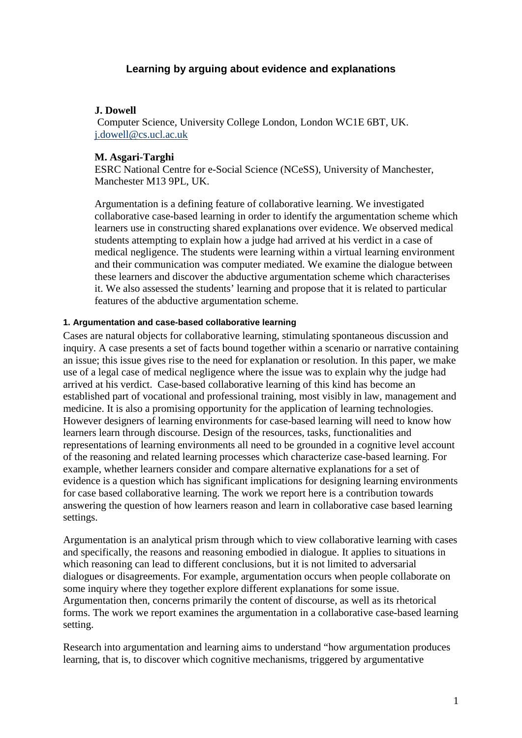# **Learning by arguing about evidence and explanations**

# **J. Dowell**

Computer Science, University College London, London WC1E 6BT, UK. [j.dowell@cs.ucl.ac.uk](mailto:j.dowell@cs.ucl.ac.uk)

# **M. Asgari-Targhi**

ESRC National Centre for e-Social Science (NCeSS), University of Manchester, Manchester M13 9PL, UK.

Argumentation is a defining feature of collaborative learning. We investigated collaborative case-based learning in order to identify the argumentation scheme which learners use in constructing shared explanations over evidence. We observed medical students attempting to explain how a judge had arrived at his verdict in a case of medical negligence. The students were learning within a virtual learning environment and their communication was computer mediated. We examine the dialogue between these learners and discover the abductive argumentation scheme which characterises it. We also assessed the students' learning and propose that it is related to particular features of the abductive argumentation scheme.

# **1. Argumentation and case-based collaborative learning**

Cases are natural objects for collaborative learning, stimulating spontaneous discussion and inquiry. A case presents a set of facts bound together within a scenario or narrative containing an issue; this issue gives rise to the need for explanation or resolution. In this paper, we make use of a legal case of medical negligence where the issue was to explain why the judge had arrived at his verdict. Case-based collaborative learning of this kind has become an established part of vocational and professional training, most visibly in law, management and medicine. It is also a promising opportunity for the application of learning technologies. However designers of learning environments for case-based learning will need to know how learners learn through discourse. Design of the resources, tasks, functionalities and representations of learning environments all need to be grounded in a cognitive level account of the reasoning and related learning processes which characterize case-based learning. For example, whether learners consider and compare alternative explanations for a set of evidence is a question which has significant implications for designing learning environments for case based collaborative learning. The work we report here is a contribution towards answering the question of how learners reason and learn in collaborative case based learning settings.

Argumentation is an analytical prism through which to view collaborative learning with cases and specifically, the reasons and reasoning embodied in dialogue. It applies to situations in which reasoning can lead to different conclusions, but it is not limited to adversarial dialogues or disagreements. For example, argumentation occurs when people collaborate on some inquiry where they together explore different explanations for some issue. Argumentation then, concerns primarily the content of discourse, as well as its rhetorical forms. The work we report examines the argumentation in a collaborative case-based learning setting.

Research into argumentation and learning aims to understand "how argumentation produces learning, that is, to discover which cognitive mechanisms, triggered by argumentative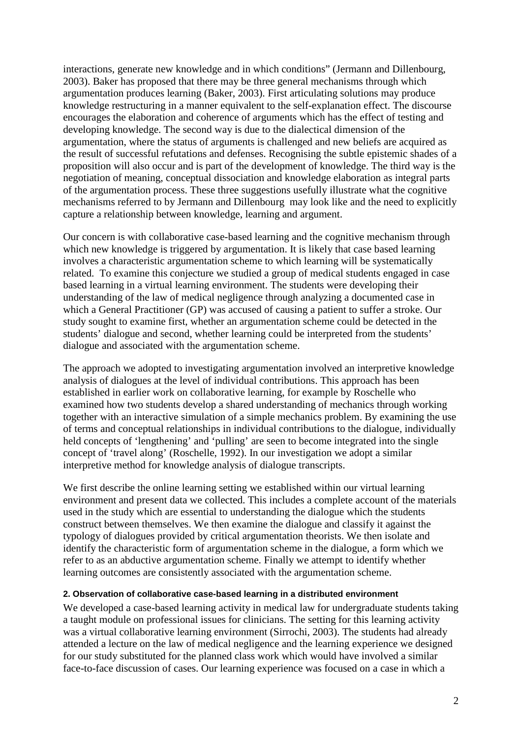interactions, generate new knowledge and in which conditions" (Jermann and Dillenbourg, 2003). Baker has proposed that there may be three general mechanisms through which argumentation produces learning (Baker, 2003). First articulating solutions may produce knowledge restructuring in a manner equivalent to the self-explanation effect. The discourse encourages the elaboration and coherence of arguments which has the effect of testing and developing knowledge. The second way is due to the dialectical dimension of the argumentation, where the status of arguments is challenged and new beliefs are acquired as the result of successful refutations and defenses. Recognising the subtle epistemic shades of a proposition will also occur and is part of the development of knowledge. The third way is the negotiation of meaning, conceptual dissociation and knowledge elaboration as integral parts of the argumentation process. These three suggestions usefully illustrate what the cognitive mechanisms referred to by Jermann and Dillenbourg may look like and the need to explicitly capture a relationship between knowledge, learning and argument.

Our concern is with collaborative case-based learning and the cognitive mechanism through which new knowledge is triggered by argumentation. It is likely that case based learning involves a characteristic argumentation scheme to which learning will be systematically related. To examine this conjecture we studied a group of medical students engaged in case based learning in a virtual learning environment. The students were developing their understanding of the law of medical negligence through analyzing a documented case in which a General Practitioner (GP) was accused of causing a patient to suffer a stroke. Our study sought to examine first, whether an argumentation scheme could be detected in the students' dialogue and second, whether learning could be interpreted from the students' dialogue and associated with the argumentation scheme.

The approach we adopted to investigating argumentation involved an interpretive knowledge analysis of dialogues at the level of individual contributions. This approach has been established in earlier work on collaborative learning, for example by Roschelle who examined how two students develop a shared understanding of mechanics through working together with an interactive simulation of a simple mechanics problem. By examining the use of terms and conceptual relationships in individual contributions to the dialogue, individually held concepts of 'lengthening' and 'pulling' are seen to become integrated into the single concept of 'travel along' (Roschelle, 1992). In our investigation we adopt a similar interpretive method for knowledge analysis of dialogue transcripts.

We first describe the online learning setting we established within our virtual learning environment and present data we collected. This includes a complete account of the materials used in the study which are essential to understanding the dialogue which the students construct between themselves. We then examine the dialogue and classify it against the typology of dialogues provided by critical argumentation theorists. We then isolate and identify the characteristic form of argumentation scheme in the dialogue, a form which we refer to as an abductive argumentation scheme. Finally we attempt to identify whether learning outcomes are consistently associated with the argumentation scheme.

## **2. Observation of collaborative case-based learning in a distributed environment**

We developed a case-based learning activity in medical law for undergraduate students taking a taught module on professional issues for clinicians. The setting for this learning activity was a virtual collaborative learning environment (Sirrochi, 2003). The students had already attended a lecture on the law of medical negligence and the learning experience we designed for our study substituted for the planned class work which would have involved a similar face-to-face discussion of cases. Our learning experience was focused on a case in which a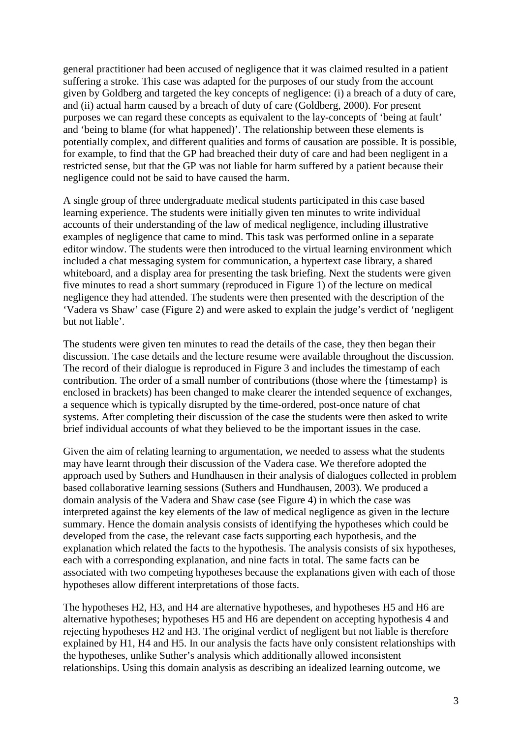general practitioner had been accused of negligence that it was claimed resulted in a patient suffering a stroke. This case was adapted for the purposes of our study from the account given by Goldberg and targeted the key concepts of negligence: (i) a breach of a duty of care, and (ii) actual harm caused by a breach of duty of care (Goldberg, 2000). For present purposes we can regard these concepts as equivalent to the lay-concepts of 'being at fault' and 'being to blame (for what happened)'. The relationship between these elements is potentially complex, and different qualities and forms of causation are possible. It is possible, for example, to find that the GP had breached their duty of care and had been negligent in a restricted sense, but that the GP was not liable for harm suffered by a patient because their negligence could not be said to have caused the harm.

A single group of three undergraduate medical students participated in this case based learning experience. The students were initially given ten minutes to write individual accounts of their understanding of the law of medical negligence, including illustrative examples of negligence that came to mind. This task was performed online in a separate editor window. The students were then introduced to the virtual learning environment which included a chat messaging system for communication, a hypertext case library, a shared whiteboard, and a display area for presenting the task briefing. Next the students were given five minutes to read a short summary (reproduced in Figure 1) of the lecture on medical negligence they had attended. The students were then presented with the description of the 'Vadera vs Shaw' case (Figure 2) and were asked to explain the judge's verdict of 'negligent but not liable'.

The students were given ten minutes to read the details of the case, they then began their discussion. The case details and the lecture resume were available throughout the discussion. The record of their dialogue is reproduced in Figure 3 and includes the timestamp of each contribution. The order of a small number of contributions (those where the {timestamp} is enclosed in brackets) has been changed to make clearer the intended sequence of exchanges, a sequence which is typically disrupted by the time-ordered, post-once nature of chat systems. After completing their discussion of the case the students were then asked to write brief individual accounts of what they believed to be the important issues in the case.

Given the aim of relating learning to argumentation, we needed to assess what the students may have learnt through their discussion of the Vadera case. We therefore adopted the approach used by Suthers and Hundhausen in their analysis of dialogues collected in problem based collaborative learning sessions (Suthers and Hundhausen, 2003). We produced a domain analysis of the Vadera and Shaw case (see Figure 4) in which the case was interpreted against the key elements of the law of medical negligence as given in the lecture summary. Hence the domain analysis consists of identifying the hypotheses which could be developed from the case, the relevant case facts supporting each hypothesis, and the explanation which related the facts to the hypothesis. The analysis consists of six hypotheses, each with a corresponding explanation, and nine facts in total. The same facts can be associated with two competing hypotheses because the explanations given with each of those hypotheses allow different interpretations of those facts.

The hypotheses H2, H3, and H4 are alternative hypotheses, and hypotheses H5 and H6 are alternative hypotheses; hypotheses H5 and H6 are dependent on accepting hypothesis 4 and rejecting hypotheses H2 and H3. The original verdict of negligent but not liable is therefore explained by H1, H4 and H5. In our analysis the facts have only consistent relationships with the hypotheses, unlike Suther's analysis which additionally allowed inconsistent relationships. Using this domain analysis as describing an idealized learning outcome, we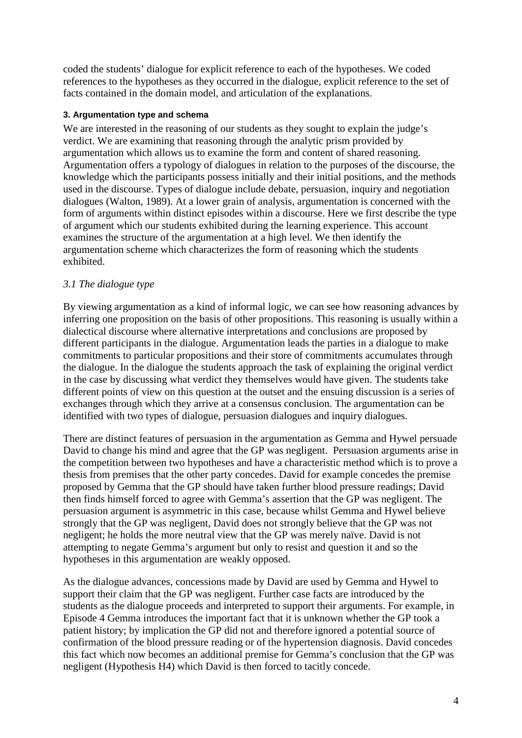coded the students' dialogue for explicit reference to each of the hypotheses. We coded references to the hypotheses as they occurred in the dialogue, explicit reference to the set of facts contained in the domain model, and articulation of the explanations.

# **3. Argumentation type and schema**

We are interested in the reasoning of our students as they sought to explain the judge's verdict. We are examining that reasoning through the analytic prism provided by argumentation which allows us to examine the form and content of shared reasoning. Argumentation offers a typology of dialogues in relation to the purposes of the discourse, the knowledge which the participants possess initially and their initial positions, and the methods used in the discourse. Types of dialogue include debate, persuasion, inquiry and negotiation dialogues (Walton, 1989). At a lower grain of analysis, argumentation is concerned with the form of arguments within distinct episodes within a discourse. Here we first describe the type of argument which our students exhibited during the learning experience. This account examines the structure of the argumentation at a high level. We then identify the argumentation scheme which characterizes the form of reasoning which the students exhibited.

# *3.1 The dialogue type*

By viewing argumentation as a kind of informal logic, we can see how reasoning advances by inferring one proposition on the basis of other propositions. This reasoning is usually within a dialectical discourse where alternative interpretations and conclusions are proposed by different participants in the dialogue. Argumentation leads the parties in a dialogue to make commitments to particular propositions and their store of commitments accumulates through the dialogue. In the dialogue the students approach the task of explaining the original verdict in the case by discussing what verdict they themselves would have given. The students take different points of view on this question at the outset and the ensuing discussion is a series of exchanges through which they arrive at a consensus conclusion. The argumentation can be identified with two types of dialogue, persuasion dialogues and inquiry dialogues.

There are distinct features of persuasion in the argumentation as Gemma and Hywel persuade David to change his mind and agree that the GP was negligent. Persuasion arguments arise in the competition between two hypotheses and have a characteristic method which is to prove a thesis from premises that the other party concedes. David for example concedes the premise proposed by Gemma that the GP should have taken further blood pressure readings; David then finds himself forced to agree with Gemma's assertion that the GP was negligent. The persuasion argument is asymmetric in this case, because whilst Gemma and Hywel believe strongly that the GP was negligent, David does not strongly believe that the GP was not negligent; he holds the more neutral view that the GP was merely naïve. David is not attempting to negate Gemma's argument but only to resist and question it and so the hypotheses in this argumentation are weakly opposed.

As the dialogue advances, concessions made by David are used by Gemma and Hywel to support their claim that the GP was negligent. Further case facts are introduced by the students as the dialogue proceeds and interpreted to support their arguments. For example, in Episode 4 Gemma introduces the important fact that it is unknown whether the GP took a patient history; by implication the GP did not and therefore ignored a potential source of confirmation of the blood pressure reading or of the hypertension diagnosis. David concedes this fact which now becomes an additional premise for Gemma's conclusion that the GP was negligent (Hypothesis H4) which David is then forced to tacitly concede.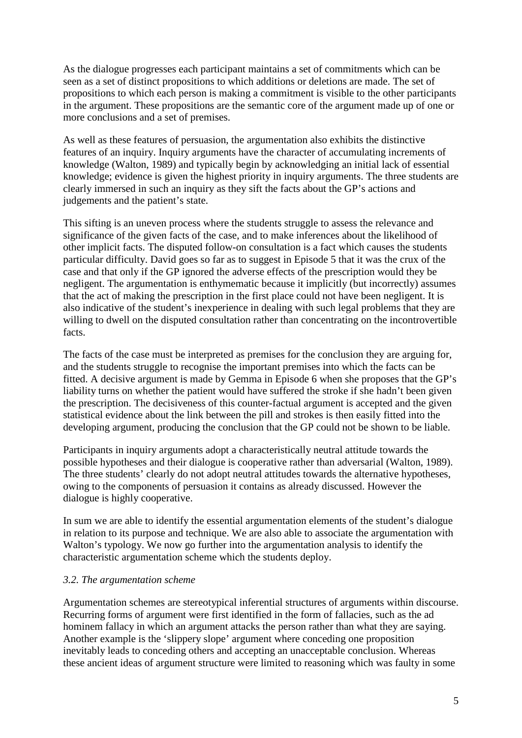As the dialogue progresses each participant maintains a set of commitments which can be seen as a set of distinct propositions to which additions or deletions are made. The set of propositions to which each person is making a commitment is visible to the other participants in the argument. These propositions are the semantic core of the argument made up of one or more conclusions and a set of premises.

As well as these features of persuasion, the argumentation also exhibits the distinctive features of an inquiry. Inquiry arguments have the character of accumulating increments of knowledge (Walton, 1989) and typically begin by acknowledging an initial lack of essential knowledge; evidence is given the highest priority in inquiry arguments. The three students are clearly immersed in such an inquiry as they sift the facts about the GP's actions and judgements and the patient's state.

This sifting is an uneven process where the students struggle to assess the relevance and significance of the given facts of the case, and to make inferences about the likelihood of other implicit facts. The disputed follow-on consultation is a fact which causes the students particular difficulty. David goes so far as to suggest in Episode 5 that it was the crux of the case and that only if the GP ignored the adverse effects of the prescription would they be negligent. The argumentation is enthymematic because it implicitly (but incorrectly) assumes that the act of making the prescription in the first place could not have been negligent. It is also indicative of the student's inexperience in dealing with such legal problems that they are willing to dwell on the disputed consultation rather than concentrating on the incontrovertible facts.

The facts of the case must be interpreted as premises for the conclusion they are arguing for, and the students struggle to recognise the important premises into which the facts can be fitted. A decisive argument is made by Gemma in Episode 6 when she proposes that the GP's liability turns on whether the patient would have suffered the stroke if she hadn't been given the prescription. The decisiveness of this counter-factual argument is accepted and the given statistical evidence about the link between the pill and strokes is then easily fitted into the developing argument, producing the conclusion that the GP could not be shown to be liable.

Participants in inquiry arguments adopt a characteristically neutral attitude towards the possible hypotheses and their dialogue is cooperative rather than adversarial (Walton, 1989). The three students' clearly do not adopt neutral attitudes towards the alternative hypotheses, owing to the components of persuasion it contains as already discussed. However the dialogue is highly cooperative.

In sum we are able to identify the essential argumentation elements of the student's dialogue in relation to its purpose and technique. We are also able to associate the argumentation with Walton's typology. We now go further into the argumentation analysis to identify the characteristic argumentation scheme which the students deploy.

# *3.2. The argumentation scheme*

Argumentation schemes are stereotypical inferential structures of arguments within discourse. Recurring forms of argument were first identified in the form of fallacies, such as the ad hominem fallacy in which an argument attacks the person rather than what they are saying. Another example is the 'slippery slope' argument where conceding one proposition inevitably leads to conceding others and accepting an unacceptable conclusion. Whereas these ancient ideas of argument structure were limited to reasoning which was faulty in some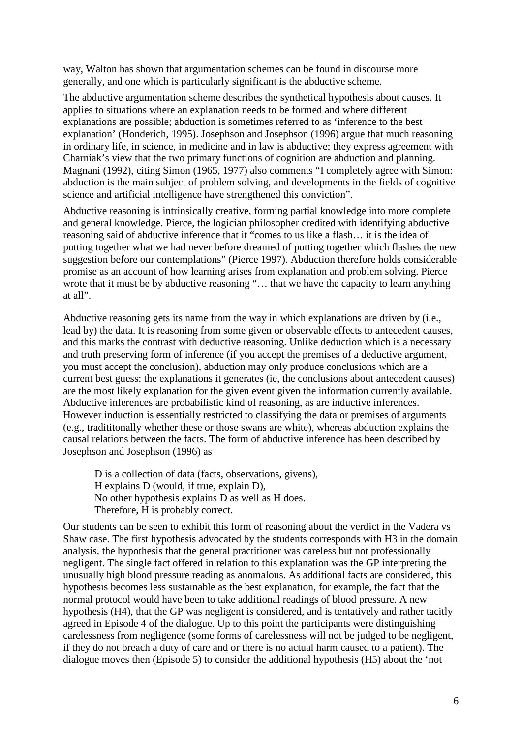way, Walton has shown that argumentation schemes can be found in discourse more generally, and one which is particularly significant is the abductive scheme.

The abductive argumentation scheme describes the synthetical hypothesis about causes. It applies to situations where an explanation needs to be formed and where different explanations are possible; abduction is sometimes referred to as 'inference to the best explanation' (Honderich, 1995). Josephson and Josephson (1996) argue that much reasoning in ordinary life, in science, in medicine and in law is abductive; they express agreement with Charniak's view that the two primary functions of cognition are abduction and planning. Magnani (1992), citing Simon (1965, 1977) also comments "I completely agree with Simon: abduction is the main subject of problem solving, and developments in the fields of cognitive science and artificial intelligence have strengthened this conviction".

Abductive reasoning is intrinsically creative, forming partial knowledge into more complete and general knowledge. Pierce, the logician philosopher credited with identifying abductive reasoning said of abductive inference that it "comes to us like a flash… it is the idea of putting together what we had never before dreamed of putting together which flashes the new suggestion before our contemplations" (Pierce 1997). Abduction therefore holds considerable promise as an account of how learning arises from explanation and problem solving. Pierce wrote that it must be by abductive reasoning "… that we have the capacity to learn anything at all".

Abductive reasoning gets its name from the way in which explanations are driven by (i.e., lead by) the data. It is reasoning from some given or observable effects to antecedent causes, and this marks the contrast with deductive reasoning. Unlike deduction which is a necessary and truth preserving form of inference (if you accept the premises of a deductive argument, you must accept the conclusion), abduction may only produce conclusions which are a current best guess: the explanations it generates (ie, the conclusions about antecedent causes) are the most likely explanation for the given event given the information currently available. Abductive inferences are probabilistic kind of reasoning, as are inductive inferences. However induction is essentially restricted to classifying the data or premises of arguments (e.g., tradititonally whether these or those swans are white), whereas abduction explains the causal relations between the facts. The form of abductive inference has been described by Josephson and Josephson (1996) as

D is a collection of data (facts, observations, givens), H explains D (would, if true, explain D), No other hypothesis explains D as well as H does. Therefore, H is probably correct.

Our students can be seen to exhibit this form of reasoning about the verdict in the Vadera vs Shaw case. The first hypothesis advocated by the students corresponds with H3 in the domain analysis, the hypothesis that the general practitioner was careless but not professionally negligent. The single fact offered in relation to this explanation was the GP interpreting the unusually high blood pressure reading as anomalous. As additional facts are considered, this hypothesis becomes less sustainable as the best explanation, for example, the fact that the normal protocol would have been to take additional readings of blood pressure. A new hypothesis (H4), that the GP was negligent is considered, and is tentatively and rather tacitly agreed in Episode 4 of the dialogue. Up to this point the participants were distinguishing carelessness from negligence (some forms of carelessness will not be judged to be negligent, if they do not breach a duty of care and or there is no actual harm caused to a patient). The dialogue moves then (Episode 5) to consider the additional hypothesis (H5) about the 'not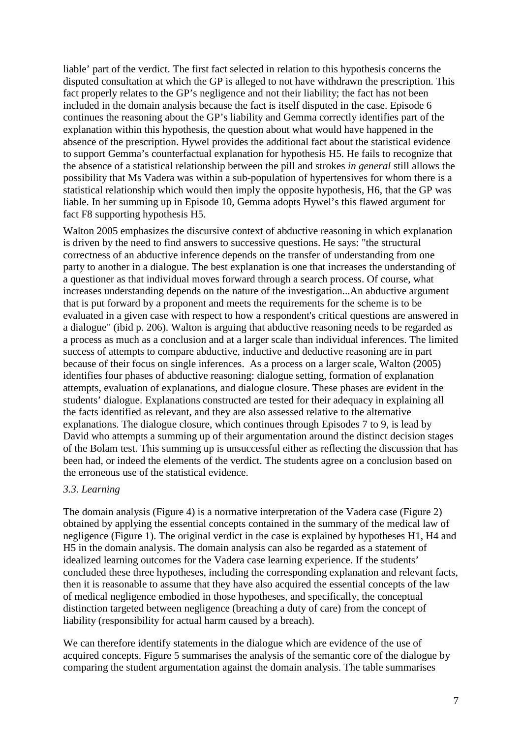liable' part of the verdict. The first fact selected in relation to this hypothesis concerns the disputed consultation at which the GP is alleged to not have withdrawn the prescription. This fact properly relates to the GP's negligence and not their liability; the fact has not been included in the domain analysis because the fact is itself disputed in the case. Episode 6 continues the reasoning about the GP's liability and Gemma correctly identifies part of the explanation within this hypothesis, the question about what would have happened in the absence of the prescription. Hywel provides the additional fact about the statistical evidence to support Gemma's counterfactual explanation for hypothesis H5. He fails to recognize that the absence of a statistical relationship between the pill and strokes *in general* still allows the possibility that Ms Vadera was within a sub-population of hypertensives for whom there is a statistical relationship which would then imply the opposite hypothesis, H6, that the GP was liable. In her summing up in Episode 10, Gemma adopts Hywel's this flawed argument for fact F8 supporting hypothesis H5.

Walton 2005 emphasizes the discursive context of abductive reasoning in which explanation is driven by the need to find answers to successive questions. He says: "the structural correctness of an abductive inference depends on the transfer of understanding from one party to another in a dialogue. The best explanation is one that increases the understanding of a questioner as that individual moves forward through a search process. Of course, what increases understanding depends on the nature of the investigation...An abductive argument that is put forward by a proponent and meets the requirements for the scheme is to be evaluated in a given case with respect to how a respondent's critical questions are answered in a dialogue" (ibid p. 206). Walton is arguing that abductive reasoning needs to be regarded as a process as much as a conclusion and at a larger scale than individual inferences. The limited success of attempts to compare abductive, inductive and deductive reasoning are in part because of their focus on single inferences. As a process on a larger scale, Walton (2005) identifies four phases of abductive reasoning: dialogue setting, formation of explanation attempts, evaluation of explanations, and dialogue closure. These phases are evident in the students' dialogue. Explanations constructed are tested for their adequacy in explaining all the facts identified as relevant, and they are also assessed relative to the alternative explanations. The dialogue closure, which continues through Episodes 7 to 9, is lead by David who attempts a summing up of their argumentation around the distinct decision stages of the Bolam test. This summing up is unsuccessful either as reflecting the discussion that has been had, or indeed the elements of the verdict. The students agree on a conclusion based on the erroneous use of the statistical evidence.

# *3.3. Learning*

The domain analysis (Figure 4) is a normative interpretation of the Vadera case (Figure 2) obtained by applying the essential concepts contained in the summary of the medical law of negligence (Figure 1). The original verdict in the case is explained by hypotheses H1, H4 and H5 in the domain analysis. The domain analysis can also be regarded as a statement of idealized learning outcomes for the Vadera case learning experience. If the students' concluded these three hypotheses, including the corresponding explanation and relevant facts, then it is reasonable to assume that they have also acquired the essential concepts of the law of medical negligence embodied in those hypotheses, and specifically, the conceptual distinction targeted between negligence (breaching a duty of care) from the concept of liability (responsibility for actual harm caused by a breach).

We can therefore identify statements in the dialogue which are evidence of the use of acquired concepts. Figure 5 summarises the analysis of the semantic core of the dialogue by comparing the student argumentation against the domain analysis. The table summarises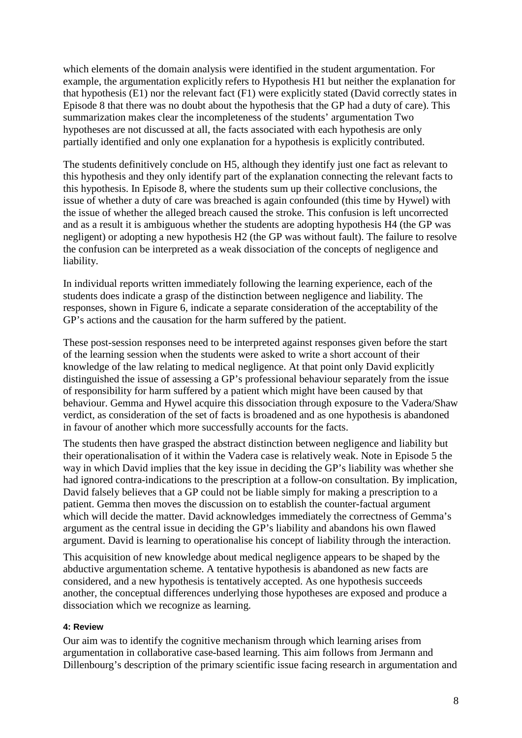which elements of the domain analysis were identified in the student argumentation. For example, the argumentation explicitly refers to Hypothesis H1 but neither the explanation for that hypothesis (E1) nor the relevant fact (F1) were explicitly stated (David correctly states in Episode 8 that there was no doubt about the hypothesis that the GP had a duty of care). This summarization makes clear the incompleteness of the students' argumentation Two hypotheses are not discussed at all, the facts associated with each hypothesis are only partially identified and only one explanation for a hypothesis is explicitly contributed.

The students definitively conclude on H5, although they identify just one fact as relevant to this hypothesis and they only identify part of the explanation connecting the relevant facts to this hypothesis. In Episode 8, where the students sum up their collective conclusions, the issue of whether a duty of care was breached is again confounded (this time by Hywel) with the issue of whether the alleged breach caused the stroke. This confusion is left uncorrected and as a result it is ambiguous whether the students are adopting hypothesis H4 (the GP was negligent) or adopting a new hypothesis H2 (the GP was without fault). The failure to resolve the confusion can be interpreted as a weak dissociation of the concepts of negligence and liability.

In individual reports written immediately following the learning experience, each of the students does indicate a grasp of the distinction between negligence and liability. The responses, shown in Figure 6, indicate a separate consideration of the acceptability of the GP's actions and the causation for the harm suffered by the patient.

These post-session responses need to be interpreted against responses given before the start of the learning session when the students were asked to write a short account of their knowledge of the law relating to medical negligence. At that point only David explicitly distinguished the issue of assessing a GP's professional behaviour separately from the issue of responsibility for harm suffered by a patient which might have been caused by that behaviour. Gemma and Hywel acquire this dissociation through exposure to the Vadera/Shaw verdict, as consideration of the set of facts is broadened and as one hypothesis is abandoned in favour of another which more successfully accounts for the facts.

The students then have grasped the abstract distinction between negligence and liability but their operationalisation of it within the Vadera case is relatively weak. Note in Episode 5 the way in which David implies that the key issue in deciding the GP's liability was whether she had ignored contra-indications to the prescription at a follow-on consultation. By implication, David falsely believes that a GP could not be liable simply for making a prescription to a patient. Gemma then moves the discussion on to establish the counter-factual argument which will decide the matter. David acknowledges immediately the correctness of Gemma's argument as the central issue in deciding the GP's liability and abandons his own flawed argument. David is learning to operationalise his concept of liability through the interaction.

This acquisition of new knowledge about medical negligence appears to be shaped by the abductive argumentation scheme. A tentative hypothesis is abandoned as new facts are considered, and a new hypothesis is tentatively accepted. As one hypothesis succeeds another, the conceptual differences underlying those hypotheses are exposed and produce a dissociation which we recognize as learning.

### **4: Review**

Our aim was to identify the cognitive mechanism through which learning arises from argumentation in collaborative case-based learning. This aim follows from Jermann and Dillenbourg's description of the primary scientific issue facing research in argumentation and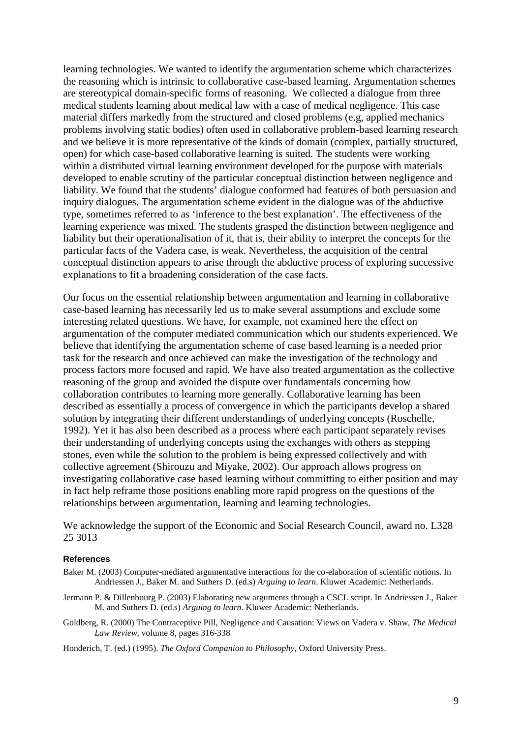learning technologies. We wanted to identify the argumentation scheme which characterizes the reasoning which is intrinsic to collaborative case-based learning. Argumentation schemes are stereotypical domain-specific forms of reasoning. We collected a dialogue from three medical students learning about medical law with a case of medical negligence. This case material differs markedly from the structured and closed problems (e.g, applied mechanics problems involving static bodies) often used in collaborative problem-based learning research and we believe it is more representative of the kinds of domain (complex, partially structured, open) for which case-based collaborative learning is suited. The students were working within a distributed virtual learning environment developed for the purpose with materials developed to enable scrutiny of the particular conceptual distinction between negligence and liability. We found that the students' dialogue conformed had features of both persuasion and inquiry dialogues. The argumentation scheme evident in the dialogue was of the abductive type, sometimes referred to as 'inference to the best explanation'. The effectiveness of the learning experience was mixed. The students grasped the distinction between negligence and liability but their operationalisation of it, that is, their ability to interpret the concepts for the particular facts of the Vadera case, is weak. Nevertheless, the acquisition of the central conceptual distinction appears to arise through the abductive process of exploring successive explanations to fit a broadening consideration of the case facts.

Our focus on the essential relationship between argumentation and learning in collaborative case-based learning has necessarily led us to make several assumptions and exclude some interesting related questions. We have, for example, not examined here the effect on argumentation of the computer mediated communication which our students experienced. We believe that identifying the argumentation scheme of case based learning is a needed prior task for the research and once achieved can make the investigation of the technology and process factors more focused and rapid. We have also treated argumentation as the collective reasoning of the group and avoided the dispute over fundamentals concerning how collaboration contributes to learning more generally. Collaborative learning has been described as essentially a process of convergence in which the participants develop a shared solution by integrating their different understandings of underlying concepts (Roschelle, 1992). Yet it has also been described as a process where each participant separately revises their understanding of underlying concepts using the exchanges with others as stepping stones, even while the solution to the problem is being expressed collectively and with collective agreement (Shirouzu and Miyake, 2002). Our approach allows progress on investigating collaborative case based learning without committing to either position and may in fact help reframe those positions enabling more rapid progress on the questions of the relationships between argumentation, learning and learning technologies.

We acknowledge the support of the Economic and Social Research Council, award no. L328 25 3013

### **References**

- Baker M. (2003) Computer-mediated argumentative interactions for the co-elaboration of scientific notions. In Andriessen J., Baker M. and Suthers D. (ed.s) *Arguing to learn*. Kluwer Academic: Netherlands.
- Jermann P. & Dillenbourg P. (2003) Elaborating new arguments through a CSCL script. In Andriessen J., Baker M. and Suthers D. (ed.s) *Arguing to learn*. Kluwer Academic: Netherlands.
- Goldberg, R. (2000) The Contraceptive Pill, Negligence and Causation: Views on Vadera v. Shaw*, The Medical Law Review*, volume 8, pages 316-338

Honderich, T. (ed.) (1995). *The Oxford Companion to Philosophy,* Oxford University Press.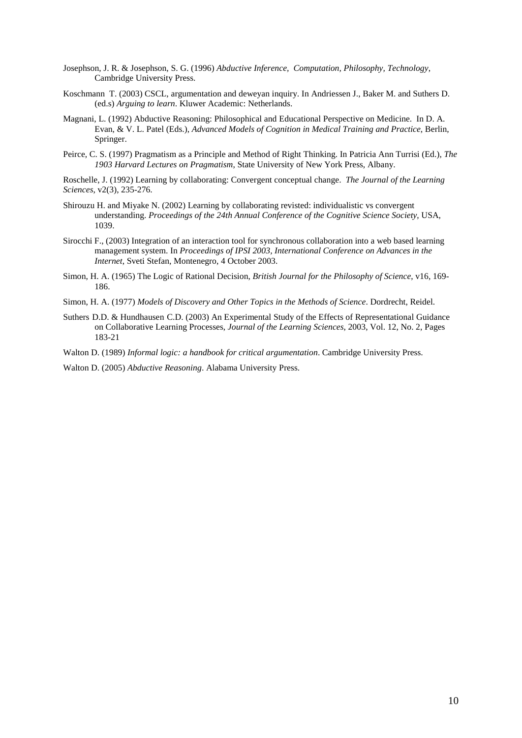- Josephson, J. R. & Josephson, S. G. (1996) *Abductive Inference, Computation, Philosophy, Technology*, Cambridge University Press.
- Koschmann T. (2003) CSCL, argumentation and deweyan inquiry. In Andriessen J., Baker M. and Suthers D. (ed.s) *Arguing to learn*. Kluwer Academic: Netherlands.
- Magnani, L. (1992) Abductive Reasoning: Philosophical and Educational Perspective on Medicine. In D. A. Evan, & V. L. Patel (Eds.), *Advanced Models of Cognition in Medical Training and Practice*, Berlin, Springer.
- Peirce, C. S. (1997) Pragmatism as a Principle and Method of Right Thinking. In Patricia Ann Turrisi (Ed.), *The 1903 Harvard Lectures on Pragmatism*, State University of New York Press, Albany.
- Roschelle, J. (1992) Learning by collaborating: Convergent conceptual change. *The Journal of the Learning Sciences*, v2(3), 235-276.
- Shirouzu H. and Miyake N. (2002) Learning by collaborating revisted: individualistic vs convergent understanding. *Proceedings of the 24th Annual Conference of the Cognitive Science Society*, USA, 1039.
- Sirocchi F., (2003) Integration of an interaction tool for synchronous collaboration into a web based learning management system. In *Proceedings of IPSI 2003, International Conference on Advances in the Internet*, Sveti Stefan, Montenegro, 4 October 2003.
- Simon, H. A. (1965) The Logic of Rational Decision, *British Journal for the Philosophy of Science*, v16, 169- 186.
- Simon, H. A. (1977) *Models of Discovery and Other Topics in the Methods of Science*. Dordrecht, Reidel.
- Suthers D.D. & Hundhausen C.D. (2003) An Experimental Study of the Effects of Representational Guidance on Collaborative Learning Processes, *[Journal of the Learning Sciences](http://www.leaonline.com/loi/jls)*, 2003, Vol. 12, No. 2, Pages 183-21
- Walton D. (1989) *Informal logic: a handbook for critical argumentation*. Cambridge University Press.

Walton D. (2005) *Abductive Reasoning*. Alabama University Press.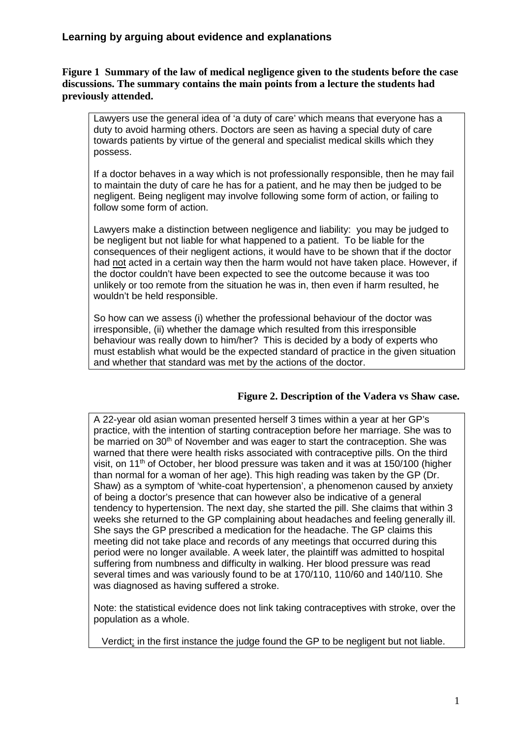# **Figure 1 Summary of the law of medical negligence given to the students before the case discussions. The summary contains the main points from a lecture the students had previously attended.**

Lawyers use the general idea of 'a duty of care' which means that everyone has a duty to avoid harming others. Doctors are seen as having a special duty of care towards patients by virtue of the general and specialist medical skills which they possess.

If a doctor behaves in a way which is not professionally responsible, then he may fail to maintain the duty of care he has for a patient, and he may then be judged to be negligent. Being negligent may involve following some form of action, or failing to follow some form of action.

Lawyers make a distinction between negligence and liability: you may be judged to be negligent but not liable for what happened to a patient. To be liable for the consequences of their negligent actions, it would have to be shown that if the doctor had not acted in a certain way then the harm would not have taken place. However, if the doctor couldn't have been expected to see the outcome because it was too unlikely or too remote from the situation he was in, then even if harm resulted, he wouldn't be held responsible.

So how can we assess (i) whether the professional behaviour of the doctor was irresponsible, (ii) whether the damage which resulted from this irresponsible behaviour was really down to him/her? This is decided by a body of experts who must establish what would be the expected standard of practice in the given situation and whether that standard was met by the actions of the doctor.

# **Figure 2. Description of the Vadera vs Shaw case.**

A 22-year old asian woman presented herself 3 times within a year at her GP's practice, with the intention of starting contraception before her marriage. She was to be married on 30<sup>th</sup> of November and was eager to start the contraception. She was warned that there were health risks associated with contraceptive pills. On the third visit, on 11<sup>th</sup> of October, her blood pressure was taken and it was at 150/100 (higher than normal for a woman of her age). This high reading was taken by the GP (Dr. Shaw) as a symptom of 'white-coat hypertension', a phenomenon caused by anxiety of being a doctor's presence that can however also be indicative of a general tendency to hypertension. The next day, she started the pill. She claims that within 3 weeks she returned to the GP complaining about headaches and feeling generally ill. She says the GP prescribed a medication for the headache. The GP claims this meeting did not take place and records of any meetings that occurred during this period were no longer available. A week later, the plaintiff was admitted to hospital suffering from numbness and difficulty in walking. Her blood pressure was read several times and was variously found to be at 170/110, 110/60 and 140/110. She was diagnosed as having suffered a stroke.

Note: the statistical evidence does not link taking contraceptives with stroke, over the population as a whole.

Verdict: in the first instance the judge found the GP to be negligent but not liable.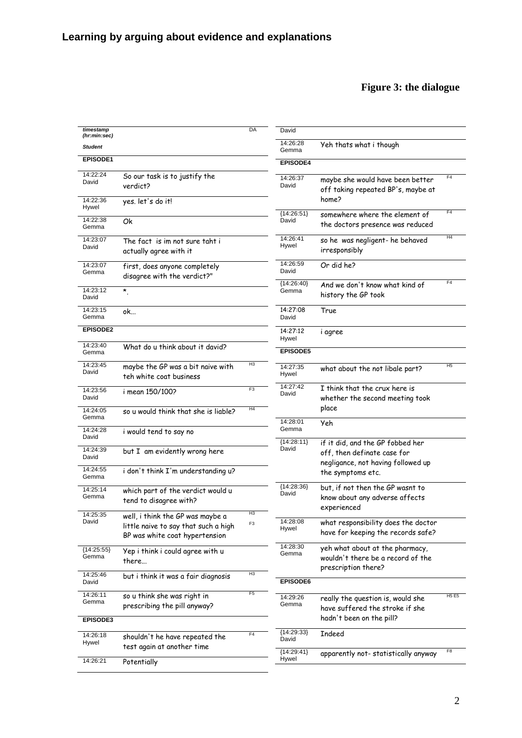# **Figure 3: the dialogue**

| timestamp<br>(hr:min:sec)     |                                                                                                            | DA                               | David                                                                                                                          |                                                                                             |                                     |
|-------------------------------|------------------------------------------------------------------------------------------------------------|----------------------------------|--------------------------------------------------------------------------------------------------------------------------------|---------------------------------------------------------------------------------------------|-------------------------------------|
| <b>Student</b>                |                                                                                                            |                                  | 14:26:28<br>Gemma                                                                                                              | Yeh thats what i though                                                                     |                                     |
| <b>EPISODE1</b>               |                                                                                                            |                                  | <b>EPISODE4</b>                                                                                                                |                                                                                             |                                     |
| 14:22:24<br>David<br>14:22:36 | So our task is to justify the<br>verdict?<br>yes. let's do it!                                             |                                  | 14:26:37<br>David                                                                                                              | maybe she would have been better<br>off taking repeated BP's, maybe at<br>home?             | F <sub>4</sub>                      |
| Hywel                         |                                                                                                            |                                  | ${14:26:51}$                                                                                                                   | somewhere where the element of                                                              | F <sub>4</sub>                      |
| 14:22:38<br>Gemma             | Οk                                                                                                         |                                  | David                                                                                                                          | the doctors presence was reduced                                                            |                                     |
| 14:23:07<br>David             | The fact is im not sure taht i<br>actually agree with it                                                   |                                  | 14:26:41<br>Hywel                                                                                                              | so he was negligent- he behaved<br>irresponsibly                                            | H4                                  |
| 14:23:07<br>Gemma             | first, does anyone completely<br>disagree with the verdict?"                                               |                                  | 14:26:59<br>David                                                                                                              | Or did he?                                                                                  | F4                                  |
| 14:23:12<br>David             | $\star$                                                                                                    |                                  | ${14:26:40}$<br>Gemma                                                                                                          | And we don't know what kind of<br>history the GP took                                       |                                     |
| 14:23:15<br>Gemma             | ok                                                                                                         |                                  | 14:27:08<br>David                                                                                                              | True                                                                                        |                                     |
| EPISODE2                      |                                                                                                            |                                  | 14:27:12<br>Hywel                                                                                                              | i agree                                                                                     |                                     |
| 14:23:40<br>Gemma             | What do u think about it david?                                                                            |                                  | <b>EPISODE5</b>                                                                                                                |                                                                                             |                                     |
| 14:23:45<br>David             | maybe the GP was a bit naive with<br>teh white coat business                                               | H <sub>3</sub>                   | 14:27:35<br>Hywel                                                                                                              | what about the not libale part?                                                             | H <sub>5</sub>                      |
| 14:23:56<br>David             | i mean 150/100?                                                                                            | F3                               | 14:27:42<br>David                                                                                                              | I think that the crux here is<br>whether the second meeting took                            |                                     |
| 14:24:05<br>Gemma             | so u would think that she is liable?                                                                       | H4                               | 14:28:01                                                                                                                       | place<br>Yeh                                                                                |                                     |
| 14:24:28<br>David             | i would tend to say no                                                                                     |                                  | Gemma                                                                                                                          |                                                                                             |                                     |
| 14:24:39<br>David             | but I am evidently wrong here                                                                              |                                  | ${14:28:11}$<br>if it did, and the GP fobbed her<br>David<br>off, then definate case for<br>negligance, not having followed up |                                                                                             |                                     |
| 14:24:55<br>Gemma             | i don't think I'm understanding u?                                                                         |                                  |                                                                                                                                | the symptoms etc.                                                                           |                                     |
| 14:25:14<br>Gemma             | which part of the verdict would u<br>tend to disagree with?                                                |                                  | ${14:28:36}$<br>David                                                                                                          | but, if not then the GP wasnt to<br>know about any adverse affects<br>experienced           |                                     |
| 14:25:35<br>David             | well, i think the GP was maybe a<br>little naive to say that such a high<br>BP was white coat hypertension | H <sub>3</sub><br>F <sub>3</sub> | 14:28:08<br>Hywel                                                                                                              | what responsibility does the doctor<br>have for keeping the records safe?                   |                                     |
| ${14:25:55}$<br>Gemma         | Yep i think i could agree with u<br>there                                                                  |                                  | 14:28:30<br>Gemma                                                                                                              | yeh what about at the pharmacy,<br>wouldn't there be a record of the<br>prescription there? |                                     |
| 14:25:46<br>David             | but i think it was a fair diagnosis                                                                        | H <sub>3</sub>                   | EPISODE6                                                                                                                       |                                                                                             |                                     |
| 14:26:11<br>Gemma             | so u think she was right in<br>prescribing the pill anyway?                                                | F <sub>5</sub>                   | 14:29:26<br>Gemma                                                                                                              | really the question is, would she<br>have suffered the stroke if she                        | <b>H<sub>5</sub></b> E <sub>5</sub> |
| EPISODE3                      |                                                                                                            |                                  |                                                                                                                                | hadn't been on the pill?                                                                    |                                     |
| 14:26:18<br>Hywel             | shouldn't he have repeated the<br>test again at another time                                               | F <sub>4</sub>                   | ${14:29:33}$<br>David                                                                                                          | Indeed                                                                                      | F8                                  |
| 14:26:21                      | Potentially                                                                                                |                                  | ${14:29:41}$<br>Hywel                                                                                                          | apparently not-statistically anyway                                                         |                                     |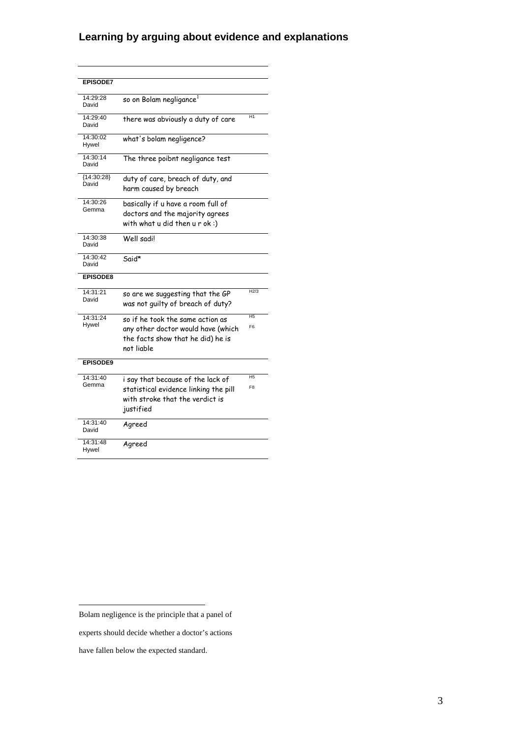# **Learning by arguing about evidence and explanations**

| <b>EPISODE7</b>       |                                                                                                        |                 |
|-----------------------|--------------------------------------------------------------------------------------------------------|-----------------|
| 14:29:28<br>David     | so on Bolam negligance <sup>1</sup>                                                                    |                 |
| 14:29:40<br>David     | there was abviously a duty of care                                                                     | H <sub>1</sub>  |
| 14:30:02<br>Hywel     | what's bolam negligence?                                                                               |                 |
| 14:30:14<br>David     | The three poibnt negligance test                                                                       |                 |
| ${14:30:28}$<br>David | duty of care, breach of duty, and<br>harm caused by breach                                             |                 |
| 14:30:26<br>Gemma     | basically if u have a room full of<br>doctors and the majority agrees<br>with what u did then u r ok:) |                 |
| 14:30:38<br>David     | Well sadil                                                                                             |                 |
| 14:30:42<br>David     | Said*                                                                                                  |                 |
| <b>EPISODE8</b>       |                                                                                                        |                 |
| 14:31:21<br>David     | so are we suggesting that the GP<br>was not guilty of breach of duty?                                  | H2/3            |
| 14:31:24              | so if he took the same action as                                                                       | H <sub>5</sub>  |
| Hywel                 | any other doctor would have (which<br>the facts show that he did) he is<br>not liable                  | F <sub>6</sub>  |
| <b>EPISODE9</b>       |                                                                                                        |                 |
| 14:31:40              | i say that because of the lack of                                                                      | $\overline{H5}$ |
| Gemma                 | statistical evidence linking the pill<br>with stroke that the verdict is<br>justified                  | F <sub>8</sub>  |
| 14:31:40<br>David     | Agreed                                                                                                 |                 |
| 14:31:48<br>Hywel     | Agreed                                                                                                 |                 |

<span id="page-12-0"></span>Bolam negligence is the principle that a panel of

experts should decide whether a doctor's actions

have fallen below the expected standard.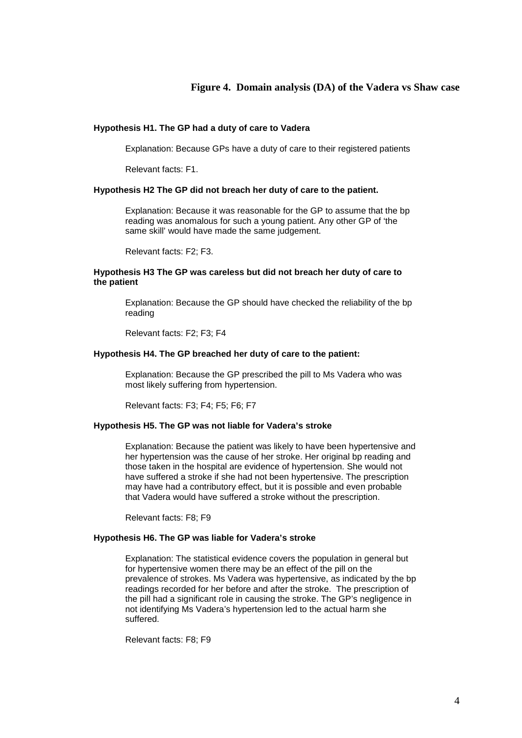### **Figure 4. Domain analysis (DA) of the Vadera vs Shaw case**

### **Hypothesis H1. The GP had a duty of care to Vadera**

Explanation: Because GPs have a duty of care to their registered patients

Relevant facts: F1.

#### **Hypothesis H2 The GP did not breach her duty of care to the patient.**

Explanation: Because it was reasonable for the GP to assume that the bp reading was anomalous for such a young patient. Any other GP of 'the same skill' would have made the same judgement.

Relevant facts: F2; F3.

### **Hypothesis H3 The GP was careless but did not breach her duty of care to the patient**

Explanation: Because the GP should have checked the reliability of the bp reading

Relevant facts: F2; F3; F4

#### **Hypothesis H4. The GP breached her duty of care to the patient:**

Explanation: Because the GP prescribed the pill to Ms Vadera who was most likely suffering from hypertension.

Relevant facts: F3; F4; F5; F6; F7

### **Hypothesis H5. The GP was not liable for Vadera's stroke**

Explanation: Because the patient was likely to have been hypertensive and her hypertension was the cause of her stroke. Her original bp reading and those taken in the hospital are evidence of hypertension. She would not have suffered a stroke if she had not been hypertensive. The prescription may have had a contributory effect, but it is possible and even probable that Vadera would have suffered a stroke without the prescription.

Relevant facts: F8; F9

### **Hypothesis H6. The GP was liable for Vadera's stroke**

Explanation: The statistical evidence covers the population in general but for hypertensive women there may be an effect of the pill on the prevalence of strokes. Ms Vadera was hypertensive, as indicated by the bp readings recorded for her before and after the stroke. The prescription of the pill had a significant role in causing the stroke. The GP's negligence in not identifying Ms Vadera's hypertension led to the actual harm she suffered.

Relevant facts: F8; F9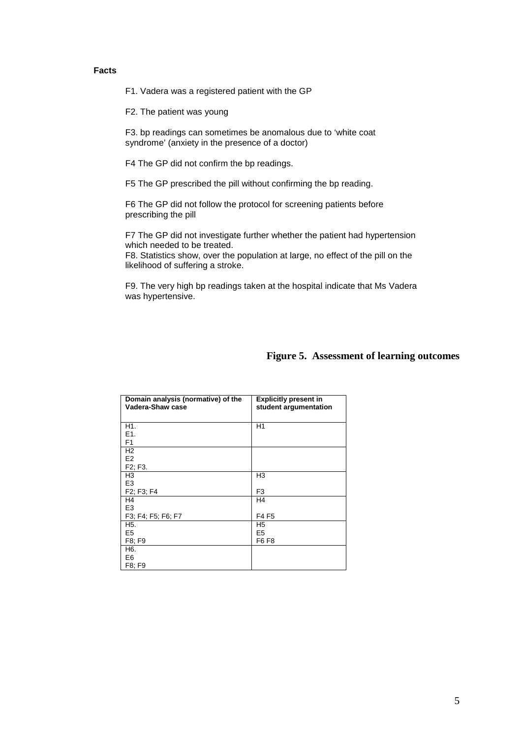## **Facts**

F1. Vadera was a registered patient with the GP

F2. The patient was young

F3. bp readings can sometimes be anomalous due to 'white coat syndrome' (anxiety in the presence of a doctor)

F4 The GP did not confirm the bp readings.

F5 The GP prescribed the pill without confirming the bp reading.

F6 The GP did not follow the protocol for screening patients before prescribing the pill

F7 The GP did not investigate further whether the patient had hypertension which needed to be treated.

F8. Statistics show, over the population at large, no effect of the pill on the likelihood of suffering a stroke.

F9. The very high bp readings taken at the hospital indicate that Ms Vadera was hypertensive.

| Domain analysis (normative) of the<br>Vadera-Shaw case | <b>Explicitly present in</b><br>student argumentation |
|--------------------------------------------------------|-------------------------------------------------------|
|                                                        |                                                       |
| H1.                                                    | H1                                                    |
| E1.                                                    |                                                       |
| F <sub>1</sub>                                         |                                                       |
| H <sub>2</sub>                                         |                                                       |
| E <sub>2</sub>                                         |                                                       |
| F <sub>2</sub> ; F <sub>3</sub> .                      |                                                       |
| H <sub>3</sub>                                         | H <sub>3</sub>                                        |
| E <sub>3</sub>                                         |                                                       |
| F2; F3; F4                                             | F3                                                    |
| H4                                                     | H <sub>4</sub>                                        |
| E <sub>3</sub>                                         |                                                       |
| F3; F4; F5; F6; F7                                     | F4 F5                                                 |
| H5.                                                    | H <sub>5</sub>                                        |
| E <sub>5</sub>                                         | E <sub>5</sub>                                        |
| F8; F9                                                 | F6 F8                                                 |
| H6.                                                    |                                                       |
| E6                                                     |                                                       |
| F8; F9                                                 |                                                       |

# **Figure 5. Assessment of learning outcomes**